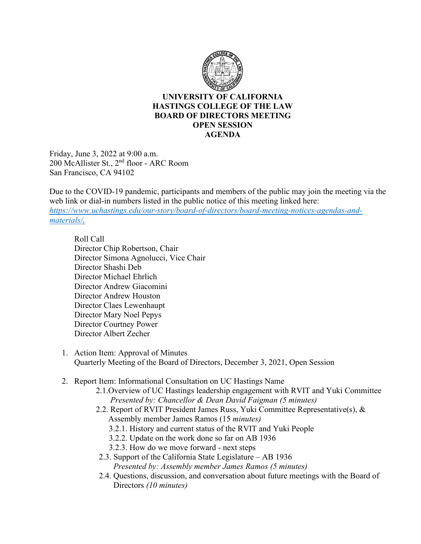

## **UNIVERSITY OF CALIFORNIA HASTINGS COLLEGE OF THE LAW BOARD OF DIRECTORS MEETING OPEN SESSION AGENDA**

Friday, June 3, 2022 at 9:00 a.m. 200 McAllister St., 2nd floor - ARC Room San Francisco, CA 94102

Due to the COVID-19 pandemic, participants and members of the public may join the meeting via the web link or dial-in numbers listed in the public notice of this meeting linked here: *[https://www.uchastings.edu/our-story/board-of-directors/board-meeting-notices-agendas-and](https://www.uchastings.edu/our-story/board-of-directors/board-meeting-notices-agendas-and-materials/)[materials/.](https://www.uchastings.edu/our-story/board-of-directors/board-meeting-notices-agendas-and-materials/)* 

Roll Call Director Chip Robertson, Chair Director Simona Agnolucci, Vice Chair Director Shashi Deb Director Michael Ehrlich Director Andrew Giacomini Director Andrew Houston Director Claes Lewenhaupt Director Mary Noel Pepys Director Courtney Power Director Albert Zecher

- 1. Action Item: Approval of Minutes Quarterly Meeting of the Board of Directors, December 3, 2021, Open Session
- 2. Report Item: Informational Consultation on UC Hastings Name
	- 2.1.Overview of UC Hastings leadership engagement with RVIT and Yuki Committee *Presented by: Chancellor & Dean David Faigman (5 minutes)*
	- 2.2. Report of RVIT President James Russ, Yuki Committee Representative(s), & Assembly member James Ramos (15 *minutes)* 
		- 3.2.1. History and current status of the RVIT and Yuki People
		- 3.2.2. Update on the work done so far on AB 1936
		- 3.2.3. How do we move forward next steps
	- 2.3. Support of the California State Legislature AB 1936 *Presented by: Assembly member James Ramos (5 minutes)*
	- 2.4. Questions, discussion, and conversation about future meetings with the Board of Directors *(10 minutes)*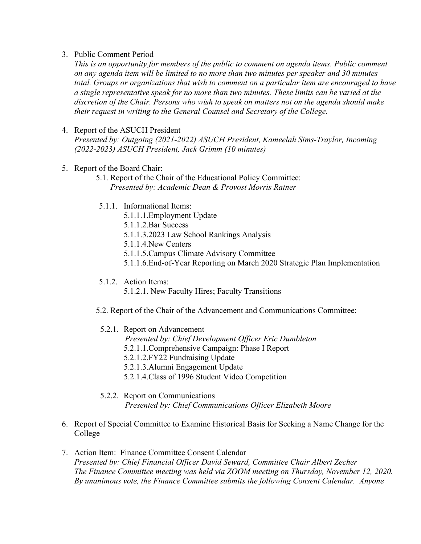3. Public Comment Period

*This is an opportunity for members of the public to comment on agenda items. Public comment on any agenda item will be limited to no more than two minutes per speaker and 30 minutes total. Groups or organizations that wish to comment on a particular item are encouraged to have a single representative speak for no more than two minutes. These limits can be varied at the discretion of the Chair. Persons who wish to speak on matters not on the agenda should make their request in writing to the General Counsel and Secretary of the College.*

## 4. Report of the ASUCH President

*Presented by: Outgoing (2021-2022) ASUCH President, Kameelah Sims-Traylor, Incoming (2022-2023) ASUCH President, Jack Grimm (10 minutes)*

- 5. Report of the Board Chair:
	- 5.1. Report of the Chair of the Educational Policy Committee: *Presented by: Academic Dean & Provost Morris Ratner*
	- 5.1.1. Informational Items:
		- 5.1.1.1.Employment Update
		- 5.1.1.2.Bar Success
		- 5.1.1.3.2023 Law School Rankings Analysis
		- 5.1.1.4.New Centers
		- 5.1.1.5.Campus Climate Advisory Committee
		- 5.1.1.6.End-of-Year Reporting on March 2020 Strategic Plan Implementation
	- 5.1.2. Action Items:
		- 5.1.2.1. New Faculty Hires; Faculty Transitions
	- 5.2. Report of the Chair of the Advancement and Communications Committee:

## 5.2.1. Report on Advancement

- *Presented by: Chief Development Officer Eric Dumbleton*
- 5.2.1.1.Comprehensive Campaign: Phase I Report
- 5.2.1.2.FY22 Fundraising Update
- 5.2.1.3.Alumni Engagement Update
- 5.2.1.4.Class of 1996 Student Video Competition
- 5.2.2. Report on Communications *Presented by: Chief Communications Officer Elizabeth Moore*
- 6. Report of Special Committee to Examine Historical Basis for Seeking a Name Change for the College
- 7. Action Item: Finance Committee Consent Calendar *Presented by: Chief Financial Officer David Seward, Committee Chair Albert Zecher The Finance Committee meeting was held via ZOOM meeting on Thursday, November 12, 2020. By unanimous vote, the Finance Committee submits the following Consent Calendar. Anyone*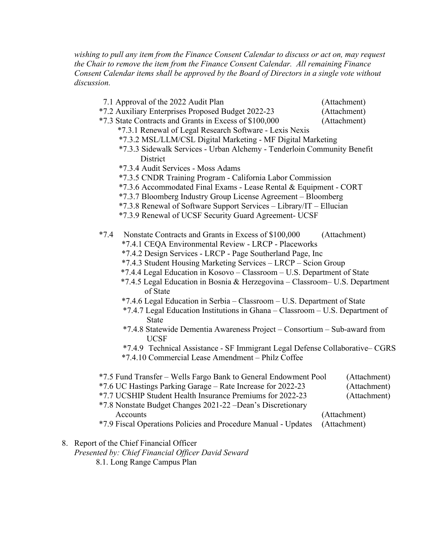*wishing to pull any item from the Finance Consent Calendar to discuss or act on, may request the Chair to remove the item from the Finance Consent Calendar. All remaining Finance Consent Calendar items shall be approved by the Board of Directors in a single vote without discussion.*

- 7.1 Approval of the 2022 Audit Plan (Attachment)
- \*7.2 Auxiliary Enterprises Proposed Budget 2022-23 (Attachment)
- \*7.3 State Contracts and Grants in Excess of \$100,000 (Attachment)
	- \*7.3.1 Renewal of Legal Research Software Lexis Nexis \*7.3.2 MSL/LLM/CSL Digital Marketing - MF Digital Marketing
	- \*7.3.3 Sidewalk Services Urban Alchemy Tenderloin Community Benefit **District**
	- \*7.3.4 Audit Services Moss Adams
	- \*7.3.5 CNDR Training Program California Labor Commission
	- \*7.3.6 Accommodated Final Exams Lease Rental & Equipment CORT
	- \*7.3.7 Bloomberg Industry Group License Agreement Bloomberg
	- \*7.3.8 Renewal of Software Support Services Library/IT Ellucian
	- \*7.3.9 Renewal of UCSF Security Guard Agreement- UCSF
- \*7.4 Nonstate Contracts and Grants in Excess of \$100,000 (Attachment)
	- \*7.4.1 CEQA Environmental Review LRCP Placeworks
	- \*7.4.2 Design Services LRCP Page Southerland Page, Inc
	- \*7.4.3 Student Housing Marketing Services LRCP Scion Group
	- \*7.4.4 Legal Education in Kosovo Classroom U.S. Department of State
	- \*7.4.5 Legal Education in Bosnia & Herzegovina Classroom– U.S. Department of State
	- \*7.4.6 Legal Education in Serbia Classroom U.S. Department of State
	- \*7.4.7 Legal Education Institutions in Ghana Classroom U.S. Department of State
	- \*7.4.8 Statewide Dementia Awareness Project Consortium Sub-award from UCSF
	- \*7.4.9 Technical Assistance SF Immigrant Legal Defense Collaborative– CGRS
	- \*7.4.10 Commercial Lease Amendment Philz Coffee
- \*7.5 Fund Transfer Wells Fargo Bank to General Endowment Pool (Attachment) \*7.6 UC Hastings Parking Garage – Rate Increase for 2022-23 (Attachment) \*7.7 UCSHIP Student Health Insurance Premiums for 2022-23 (Attachment) \*7.8 Nonstate Budget Changes 2021-22 –Dean's Discretionary Accounts (Attachment) (Attachment)
- \*7.9 Fiscal Operations Policies and Procedure Manual Updates (Attachment)
- 8. Report of the Chief Financial Officer
	- *Presented by: Chief Financial Officer David Seward*
		- 8.1. Long Range Campus Plan